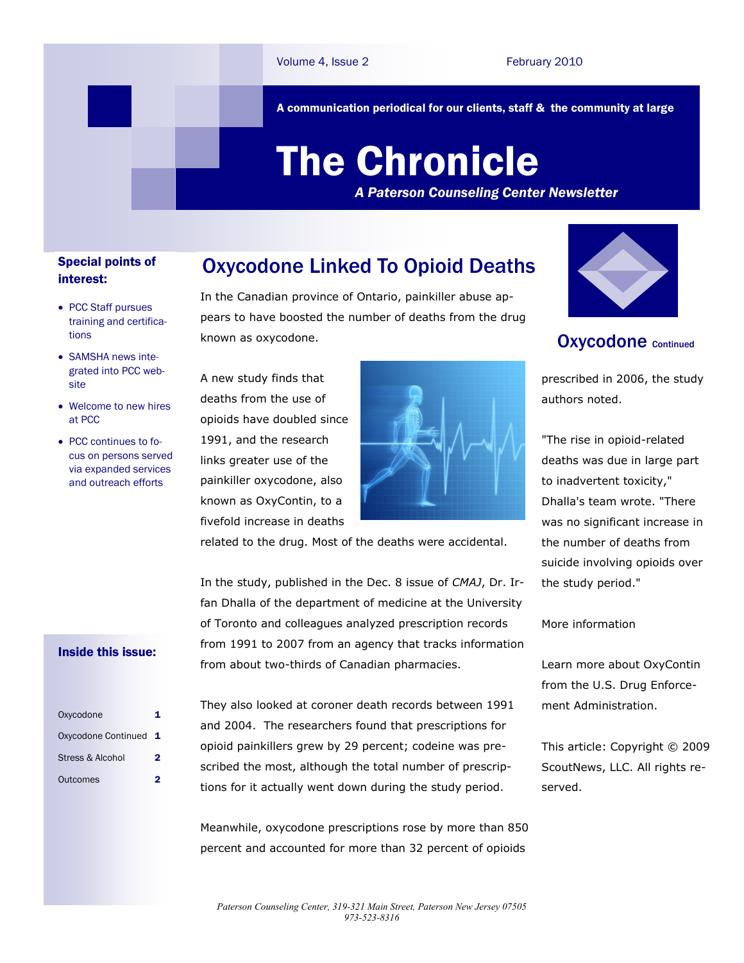A communication periodical for our clients, staff & the community at large

# The Chronicle

*A Paterson Counseling Center Newsletter*

### Special points of interest:

- PCC Staff pursues training and certifications
- SAMSHA news integrated into PCC website
- Welcome to new hires at PCC
- PCC continues to focus on persons served via expanded services and outreach efforts

# In the Canadian province of Ontario, painkiller abuse ap-Oxycodone Linked To Opioid Deaths

pears to have boosted the number of deaths from the drug known as oxycodone.

A new study finds that deaths from the use of opioids have doubled since 1991, and the research links greater use of the painkiller oxycodone, also known as OxyContin, to a fivefold increase in deaths



related to the drug. Most of the deaths were accidental.



## Oxycodone Continued

prescribed in 2006, the study authors noted.

"The rise in opioid-related deaths was due in large part to inadvertent toxicity," Dhalla's team wrote. "There was no significant increase in the number of deaths from suicide involving opioids over the study period."

#### More information

Learn more about [OxyContin](http://www.justice.gov/dea/concern/oxycodone.html)  from the U.S. Drug Enforcement Administration.

This article: Copyright © 2009 ScoutNews, LLC. All rights reserved.

In the study, published in the Dec. 8 issue of *CMAJ*, Dr. Irfan Dhalla of the department of medicine at the University of Toronto and colleagues analyzed prescription records from 1991 to 2007 from an agency that tracks information from about two-thirds of Canadian pharmacies.

#### Inside this issue:

| Oxycodone             |   |
|-----------------------|---|
| Oxycodone Continued 1 |   |
| Stress & Alcohol      | 2 |
| Outcomes              |   |

They also looked at coroner death records between 1991 and 2004. The researchers found that prescriptions for opioid painkillers grew by 29 percent; codeine was prescribed the most, although the total number of prescriptions for it actually went down during the study period.

Meanwhile, oxycodone prescriptions rose by more than 850 percent and accounted for more than 32 percent of opioids